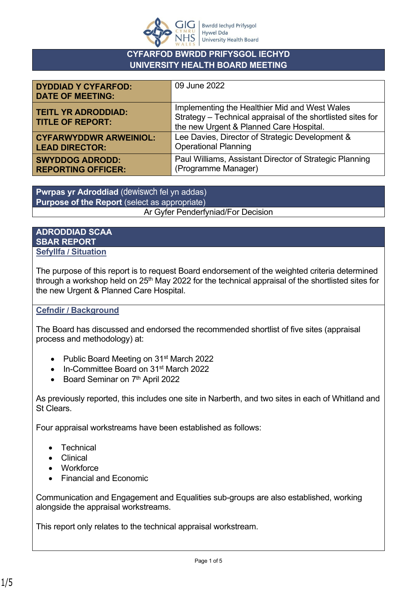

## **CYFARFOD BWRDD PRIFYSGOL IECHYD UNIVERSITY HEALTH BOARD MEETING**

| <b>DYDDIAD Y CYFARFOD:</b><br><b>DATE OF MEETING:</b> | 09 June 2022                                                                                                                                            |
|-------------------------------------------------------|---------------------------------------------------------------------------------------------------------------------------------------------------------|
| <b>TEITL YR ADRODDIAD:</b><br><b>TITLE OF REPORT:</b> | Implementing the Healthier Mid and West Wales<br>Strategy - Technical appraisal of the shortlisted sites for<br>the new Urgent & Planned Care Hospital. |
| <b>CYFARWYDDWR ARWEINIOL:</b>                         | Lee Davies, Director of Strategic Development &                                                                                                         |
| <b>LEAD DIRECTOR:</b>                                 | <b>Operational Planning</b>                                                                                                                             |
| <b>SWYDDOG ADRODD:</b>                                | Paul Williams, Assistant Director of Strategic Planning                                                                                                 |
| <b>REPORTING OFFICER:</b>                             | (Programme Manager)                                                                                                                                     |

**Pwrpas yr Adroddiad** (dewiswch fel yn addas) **Purpose of the Report** (select as appropriate) Ar Gyfer Penderfyniad/For Decision

#### **ADRODDIAD SCAA SBAR REPORT Sefyllfa / Situation**

The purpose of this report is to request Board endorsement of the weighted criteria determined through a workshop held on  $25<sup>th</sup>$  May 2022 for the technical appraisal of the shortlisted sites for the new Urgent & Planned Care Hospital.

## **Cefndir / Background**

The Board has discussed and endorsed the recommended shortlist of five sites (appraisal process and methodology) at:

- Public Board Meeting on 31<sup>st</sup> March 2022
- In-Committee Board on 31st March 2022
- Board Seminar on 7<sup>th</sup> April 2022

As previously reported, this includes one site in Narberth, and two sites in each of Whitland and St Clears.

Four appraisal workstreams have been established as follows:

- **Technical**
- Clinical
- Workforce
- Financial and Economic

Communication and Engagement and Equalities sub-groups are also established, working alongside the appraisal workstreams.

This report only relates to the technical appraisal workstream.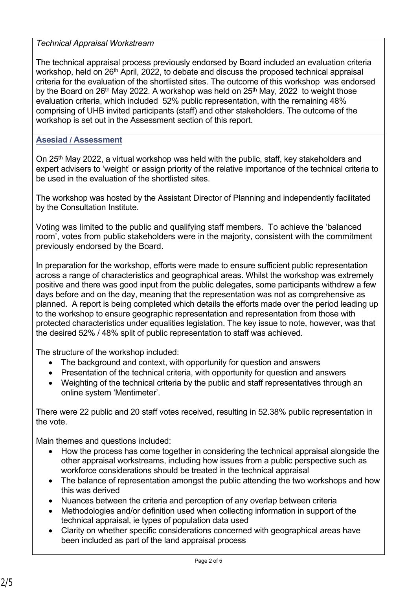### *Technical Appraisal Workstream*

The technical appraisal process previously endorsed by Board included an evaluation criteria workshop, held on 26<sup>th</sup> April, 2022, to debate and discuss the proposed technical appraisal criteria for the evaluation of the shortlisted sites. The outcome of this workshop was endorsed by the Board on  $26<sup>th</sup>$  May 2022. A workshop was held on  $25<sup>th</sup>$  May, 2022 to weight those evaluation criteria, which included 52% public representation, with the remaining 48% comprising of UHB invited participants (staff) and other stakeholders. The outcome of the workshop is set out in the Assessment section of this report.

### **Asesiad / Assessment**

On 25<sup>th</sup> May 2022, a virtual workshop was held with the public, staff, key stakeholders and expert advisers to 'weight' or assign priority of the relative importance of the technical criteria to be used in the evaluation of the shortlisted sites.

The workshop was hosted by the Assistant Director of Planning and independently facilitated by the Consultation Institute.

Voting was limited to the public and qualifying staff members. To achieve the 'balanced room', votes from public stakeholders were in the majority, consistent with the commitment previously endorsed by the Board.

In preparation for the workshop, efforts were made to ensure sufficient public representation across a range of characteristics and geographical areas. Whilst the workshop was extremely positive and there was good input from the public delegates, some participants withdrew a few days before and on the day, meaning that the representation was not as comprehensive as planned. A report is being completed which details the efforts made over the period leading up to the workshop to ensure geographic representation and representation from those with protected characteristics under equalities legislation. The key issue to note, however, was that the desired 52% / 48% split of public representation to staff was achieved.

The structure of the workshop included:

- The background and context, with opportunity for question and answers
- Presentation of the technical criteria, with opportunity for question and answers
- Weighting of the technical criteria by the public and staff representatives through an online system 'Mentimeter'.

There were 22 public and 20 staff votes received, resulting in 52.38% public representation in the vote.

Main themes and questions included:

- How the process has come together in considering the technical appraisal alongside the other appraisal workstreams, including how issues from a public perspective such as workforce considerations should be treated in the technical appraisal
- The balance of representation amongst the public attending the two workshops and how this was derived
- Nuances between the criteria and perception of any overlap between criteria
- Methodologies and/or definition used when collecting information in support of the technical appraisal, ie types of population data used
- Clarity on whether specific considerations concerned with geographical areas have been included as part of the land appraisal process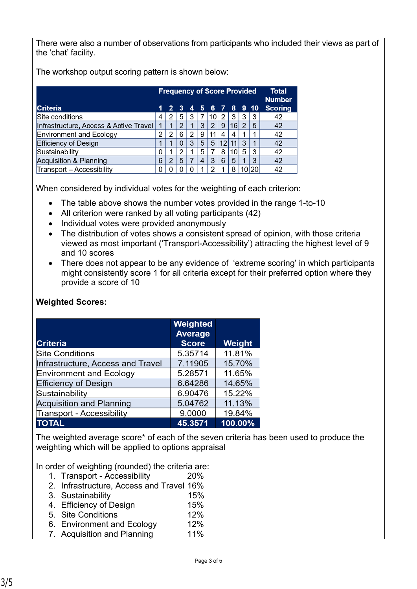There were also a number of observations from participants who included their views as part of the 'chat' facility.

The workshop output scoring pattern is shown below:

|                                        | <b>Frequency of Score Provided</b> |               |          | <b>Total</b><br><b>Number</b> |   |                      |    |    |                 |     |                |
|----------------------------------------|------------------------------------|---------------|----------|-------------------------------|---|----------------------|----|----|-----------------|-----|----------------|
| Criteria                               |                                    |               |          |                               |   | 1 2 3 4 5 6 7 8 9 10 |    |    |                 |     | <b>Scoring</b> |
| Site conditions                        | 4                                  |               | 5        | 3                             |   | 10 <sub>1</sub>      | 2  | 3  | 3               | 3   | 42             |
| Infrastructure, Access & Active Travel |                                    |               | 2        |                               | 3 | 2                    | 9  | 16 | $\mathcal{P}$   | 5   | 42             |
| Environment and Ecology                | 2                                  | っ             | 6        | 2                             | 9 | 11                   | 4  | 4  |                 |     | 42             |
| <b>Efficiency of Design</b>            |                                    |               | $\Omega$ | 3                             | 5 | 5                    | 12 | 11 | 3               |     | 42             |
| Sustainability                         | <sup>0</sup>                       |               | 2        |                               | 5 |                      | 8  | 10 | 5               | 3   | 42             |
| Acquisition & Planning                 | 6                                  | $\mathcal{P}$ | 5        |                               | 4 | 3                    | 6  | 5  |                 | 3   | 42             |
| Transport - Accessibility              | n                                  |               |          |                               |   |                      |    | 8  | 10 <sub>1</sub> | 120 | 42             |

When considered by individual votes for the weighting of each criterion:

- The table above shows the number votes provided in the range 1-to-10
- All criterion were ranked by all voting participants (42)
- Individual votes were provided anonymously
- The distribution of votes shows a consistent spread of opinion, with those criteria viewed as most important ('Transport-Accessibility') attracting the highest level of 9 and 10 scores
- There does not appear to be any evidence of 'extreme scoring' in which participants might consistently score 1 for all criteria except for their preferred option where they provide a score of 10

| <b>Criteria</b>                   | Weighted<br><b>Average</b><br><b>Score</b> | Weight  |
|-----------------------------------|--------------------------------------------|---------|
| <b>Site Conditions</b>            | 5.35714                                    | 11.81%  |
| Infrastructure, Access and Travel | 7.11905                                    | 15.70%  |
| Environment and Ecology           | 5.28571                                    | 11.65%  |
| <b>Efficiency of Design</b>       | 6.64286                                    | 14.65%  |
| Sustainability                    | 6.90476                                    | 15.22%  |
| <b>Acquisition and Planning</b>   | 5.04762                                    | 11.13%  |
| <b>Transport - Accessibility</b>  | 9.0000                                     | 19.84%  |
| <b>TOTAL</b>                      | 45.3571                                    | 100.00% |

# **Weighted Scores:**

The weighted average score\* of each of the seven criteria has been used to produce the weighting which will be applied to options appraisal

In order of weighting (rounded) the criteria are:

- 1. Transport Accessibility 20%
- 2. Infrastructure, Access and Travel 16%
- 3. Sustainability 15%
- 4. Efficiency of Design 15%
- 5. Site Conditions 12% 6. Environment and Ecology 12%
- 7. Acquisition and Planning 11%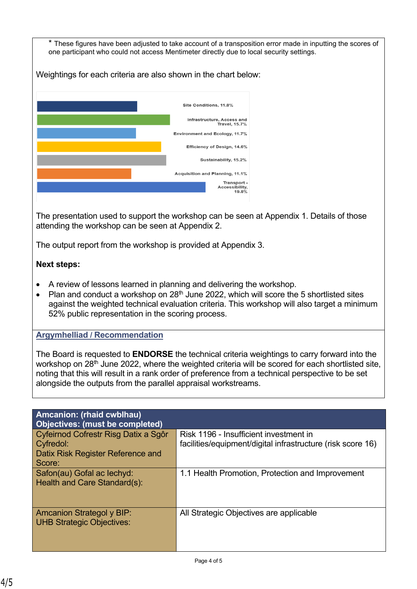\* These figures have been adjusted to take account of a transposition error made in inputting the scores of one participant who could not access Mentimeter directly due to local security settings.

Weightings for each criteria are also shown in the chart below:



The presentation used to support the workshop can be seen at Appendix 1. Details of those attending the workshop can be seen at Appendix 2.

The output report from the workshop is provided at Appendix 3.

## **Next steps:**

- A review of lessons learned in planning and delivering the workshop.
- Plan and conduct a workshop on  $28<sup>th</sup>$  June 2022, which will score the 5 shortlisted sites against the weighted technical evaluation criteria. This workshop will also target a minimum 52% public representation in the scoring process.

## **Argymhelliad / Recommendation**

The Board is requested to **ENDORSE** the technical criteria weightings to carry forward into the workshop on 28<sup>th</sup> June 2022, where the weighted criteria will be scored for each shortlisted site, noting that this will result in a rank order of preference from a technical perspective to be set alongside the outputs from the parallel appraisal workstreams.

| <b>Amcanion: (rhaid cwblhau)</b><br>Objectives: (must be completed)                              |                                                                                                       |
|--------------------------------------------------------------------------------------------------|-------------------------------------------------------------------------------------------------------|
| Cyfeirnod Cofrestr Risg Datix a Sgôr<br>Cyfredol:<br>Datix Risk Register Reference and<br>Score: | Risk 1196 - Insufficient investment in<br>facilities/equipment/digital infrastructure (risk score 16) |
| Safon(au) Gofal ac lechyd:<br>Health and Care Standard(s):                                       | 1.1 Health Promotion, Protection and Improvement                                                      |
| <b>Amcanion Strategol y BIP:</b><br><b>UHB Strategic Objectives:</b>                             | All Strategic Objectives are applicable                                                               |